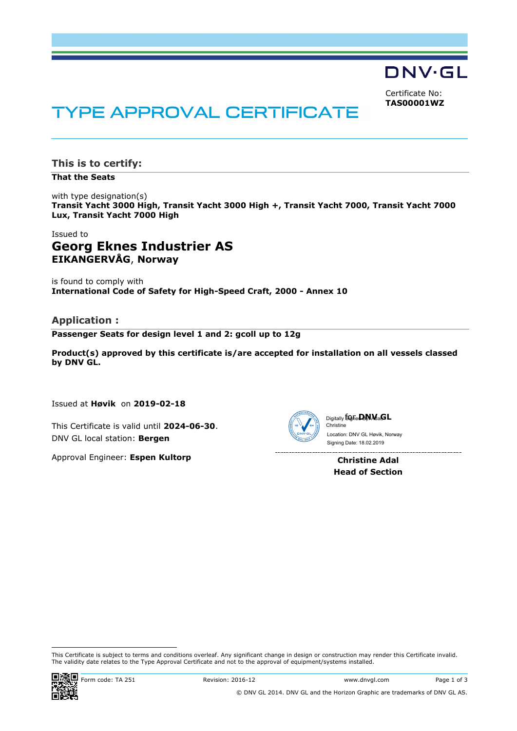DNV·GL

Certificate No: **TAS00001WZ**

# **TYPE APPROVAL CERTIFICATE**

**This is to certify:**

**That the Seats**

with type designation(s) **Transit Yacht 3000 High, Transit Yacht 3000 High +, Transit Yacht 7000, Transit Yacht 7000 Lux, Transit Yacht 7000 High**

## Issued to **Georg Eknes Industrier AS EIKANGERVÅG**, **Norway**

is found to comply with **International Code of Safety for High-Speed Craft, 2000 - Annex 10**

## **Application :**

**Passenger Seats for design level 1 and 2: gcoll up to 12g**

**Product(s) approved by this certificate is/are accepted for installation on all vessels classed by DNV GL.**

Issued at **Høvik** on **2019-02-18**

This Certificate is valid until **2024-06-30**. DNV GL local station: **Bergen**

Approval Engineer: **Espen Kultorp**



Digitally **SQ<sub>he</sub>D**M<sub>a</sub>GL Signing Date: 18.02.2019 Christine Location: DNV GL Høvik, Norway

**Christine Adal Head of Section**

 This Certificate is subject to terms and conditions overleaf. Any significant change in design or construction may render this Certificate invalid. The validity date relates to the Type Approval Certificate and not to the approval of equipment/systems installed.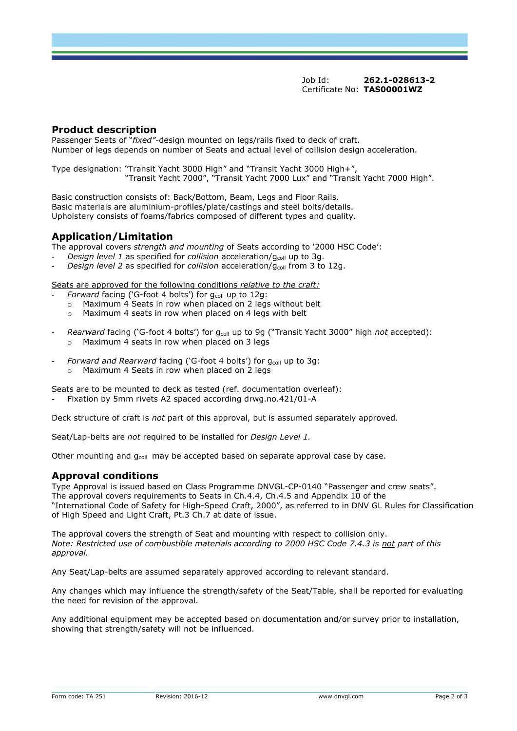Job Id: **262.1-028613-2** Certificate No: **TAS00001WZ**

### **Product description**

Passenger Seats of "*fixed"*-design mounted on legs/rails fixed to deck of craft. Number of legs depends on number of Seats and actual level of collision design acceleration.

Type designation: "Transit Yacht 3000 High" and "Transit Yacht 3000 High+", "Transit Yacht 7000", "Transit Yacht 7000 Lux" and "Transit Yacht 7000 High".

Basic construction consists of: Back/Bottom, Beam, Legs and Floor Rails. Basic materials are aluminium-profiles/plate/castings and steel bolts/details. Upholstery consists of foams/fabrics composed of different types and quality.

# **Application/Limitation**

The approval covers *strength and mounting* of Seats according to '2000 HSC Code':

- *Design level 1* as specified for *collision* acceleration/g<sub>coll</sub> up to 3g.
- *- Design level 2* as specified for *collision* acceleration/gcoll from 3 to 12g.

Seats are approved for the following conditions *relative to the craft:*

- *Forward* facing ('G-foot 4 bolts') for g<sub>coll</sub> up to 12g:
- o Maximum 4 Seats in row when placed on 2 legs without belt
- o Maximum 4 seats in row when placed on 4 legs with belt
- *Rearward* facing ('G-foot 4 bolts') for g<sub>coll</sub> up to 9g ("Transit Yacht 3000" high *not* accepted): o Maximum 4 seats in row when placed on 3 legs
- *Forward and Rearward facing ('G-foot 4 bolts')* for g<sub>coll</sub> up to 3g:
	- o Maximum 4 Seats in row when placed on 2 legs

Seats are to be mounted to deck as tested (ref. documentation overleaf):

*-* Fixation by 5mm rivets A2 spaced according drwg.no.421/01-A

Deck structure of craft is *not* part of this approval, but is assumed separately approved.

Seat/Lap-belts are *not* required to be installed for *Design Level 1.*

Other mounting and  $g_{coll}$  may be accepted based on separate approval case by case.

#### **Approval conditions**

Type Approval is issued based on Class Programme DNVGL-CP-0140 "Passenger and crew seats". The approval covers requirements to Seats in Ch.4.4, Ch.4.5 and Appendix 10 of the "International Code of Safety for High-Speed Craft, 2000", as referred to in DNV GL Rules for Classification of High Speed and Light Craft, Pt.3 Ch.7 at date of issue.

The approval covers the strength of Seat and mounting with respect to collision only. *Note: Restricted use of combustible materials according to 2000 HSC Code 7.4.3 is not part of this approval.*

Any Seat/Lap-belts are assumed separately approved according to relevant standard.

Any changes which may influence the strength/safety of the Seat/Table, shall be reported for evaluating the need for revision of the approval.

Any additional equipment may be accepted based on documentation and/or survey prior to installation, showing that strength/safety will not be influenced.